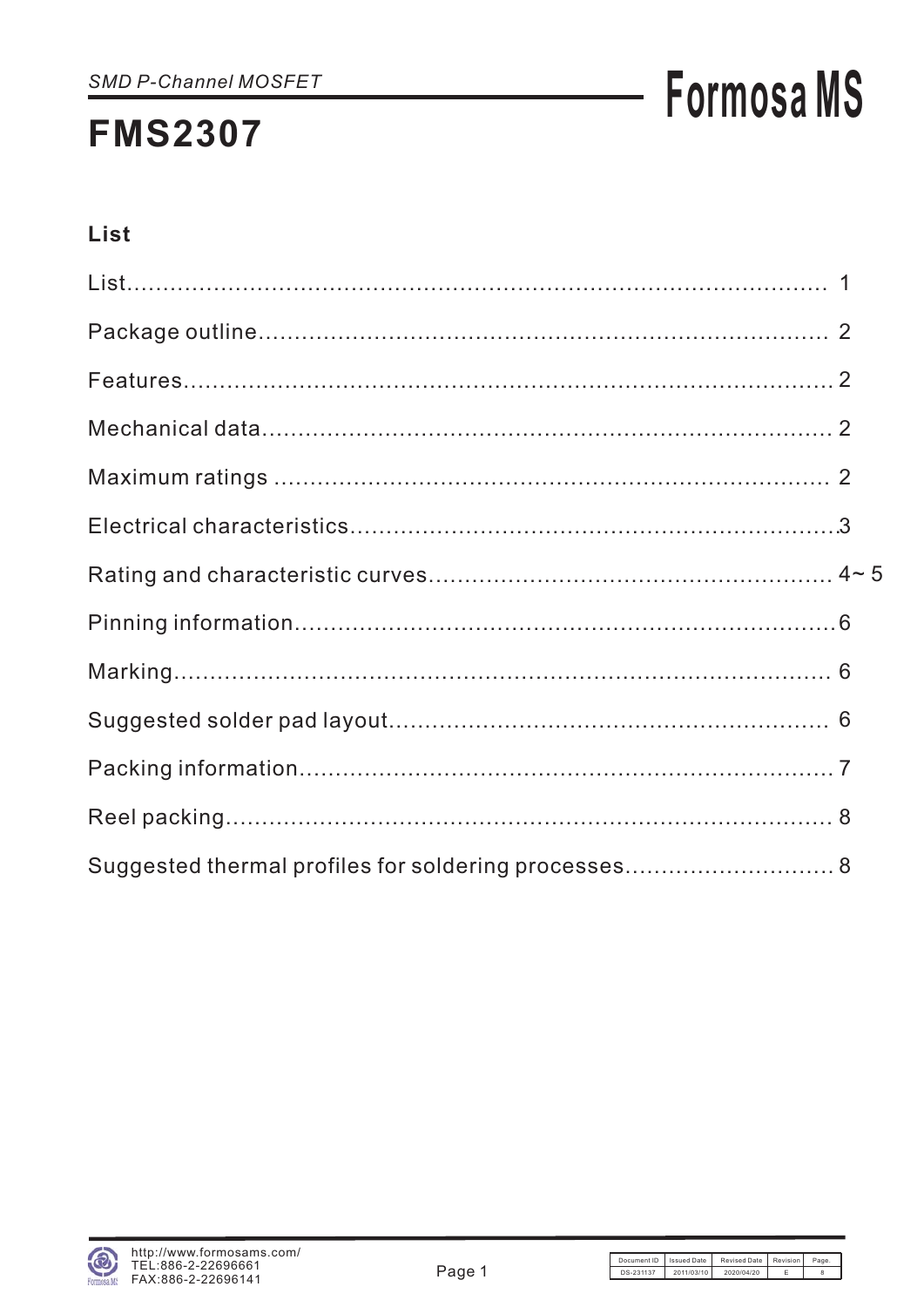# **Formosa MS**

## List

| Suggested thermal profiles for soldering processes 8 |  |
|------------------------------------------------------|--|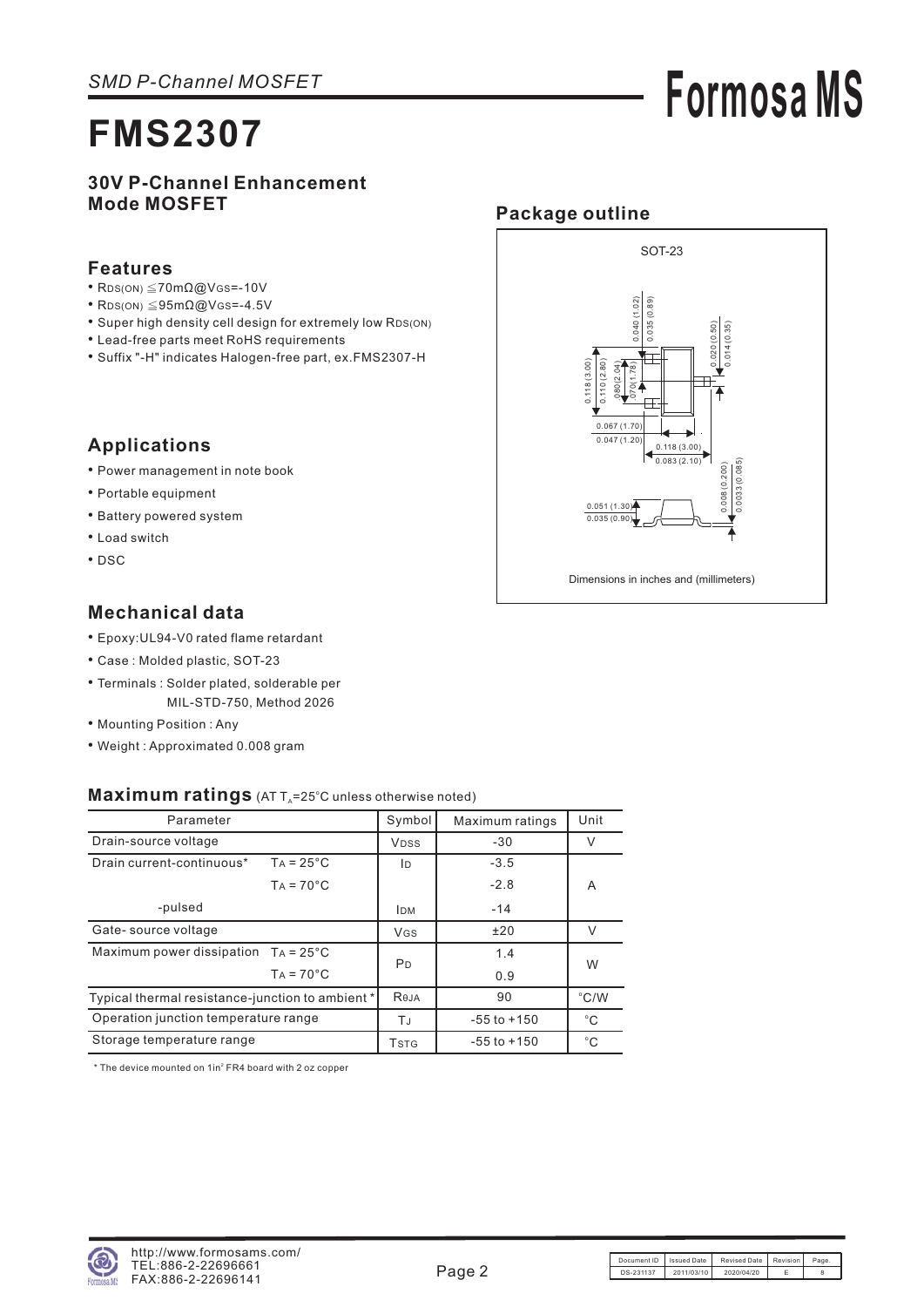# **Formosa MS**

#### **30V P-Channel Enhancement Mode MOSFET**

#### **Features**

- $RDS(ON) \leq 70m\Omega\omega$ VGS = -10V
- RDS(ON)  $\leq$ 95m $\Omega$ @VGS=-4.5V
- Super high density cell design for extremely low RDS(ON)
- Lead-free parts meet RoHS requirements
- Suffix "-H" indicates Halogen-free part, ex.FMS2307-H

### **Applications**

- Power management in note book
- Portable equipment
- Battery powered system
- Load switch
- DSC

### **Mechanical data**

- Epoxy:UL94-V0 rated flame retardant
- Case : Molded plastic, SOT-23
- Terminals : Solder plated, solderable per MIL-STD-750, Method 2026
- Mounting Position : Any
- Weight : Approximated 0.008 gram

#### Maximum ratings (AT T<sub>A</sub>=25°C unless otherwise noted)

| Parameter                                        |                    | Symbol                | Maximum ratings | Unit          |  |
|--------------------------------------------------|--------------------|-----------------------|-----------------|---------------|--|
| Drain-source voltage                             |                    | <b>VDSS</b>           | $-30$           | V             |  |
| Drain current-continuous*                        | $TA = 25^{\circ}C$ | ID                    | $-3.5$          |               |  |
|                                                  | $TA = 70^{\circ}C$ |                       | $-2.8$          | A             |  |
| -pulsed                                          |                    | <b>IDM</b>            | $-14$           |               |  |
| Gate-source voltage                              |                    | <b>V<sub>GS</sub></b> | ±20             | $\vee$        |  |
| Maximum power dissipation $TA = 25^{\circ}C$     |                    |                       | 1.4             | W             |  |
|                                                  | $TA = 70^{\circ}C$ | P <sub>D</sub>        | 0.9             |               |  |
| Typical thermal resistance-junction to ambient * |                    | Reja                  | 90              | $\degree$ C/W |  |
| Operation junction temperature range             |                    | ТJ                    | $-55$ to $+150$ | $^{\circ}C$   |  |
| Storage temperature range                        |                    | <b>T</b> stg          | $-55$ to $+150$ | $^{\circ}C$   |  |

 $*$  The device mounted on  $1$ in $2$  FR4 board with 2 oz copper



SOT-23

**Package outline**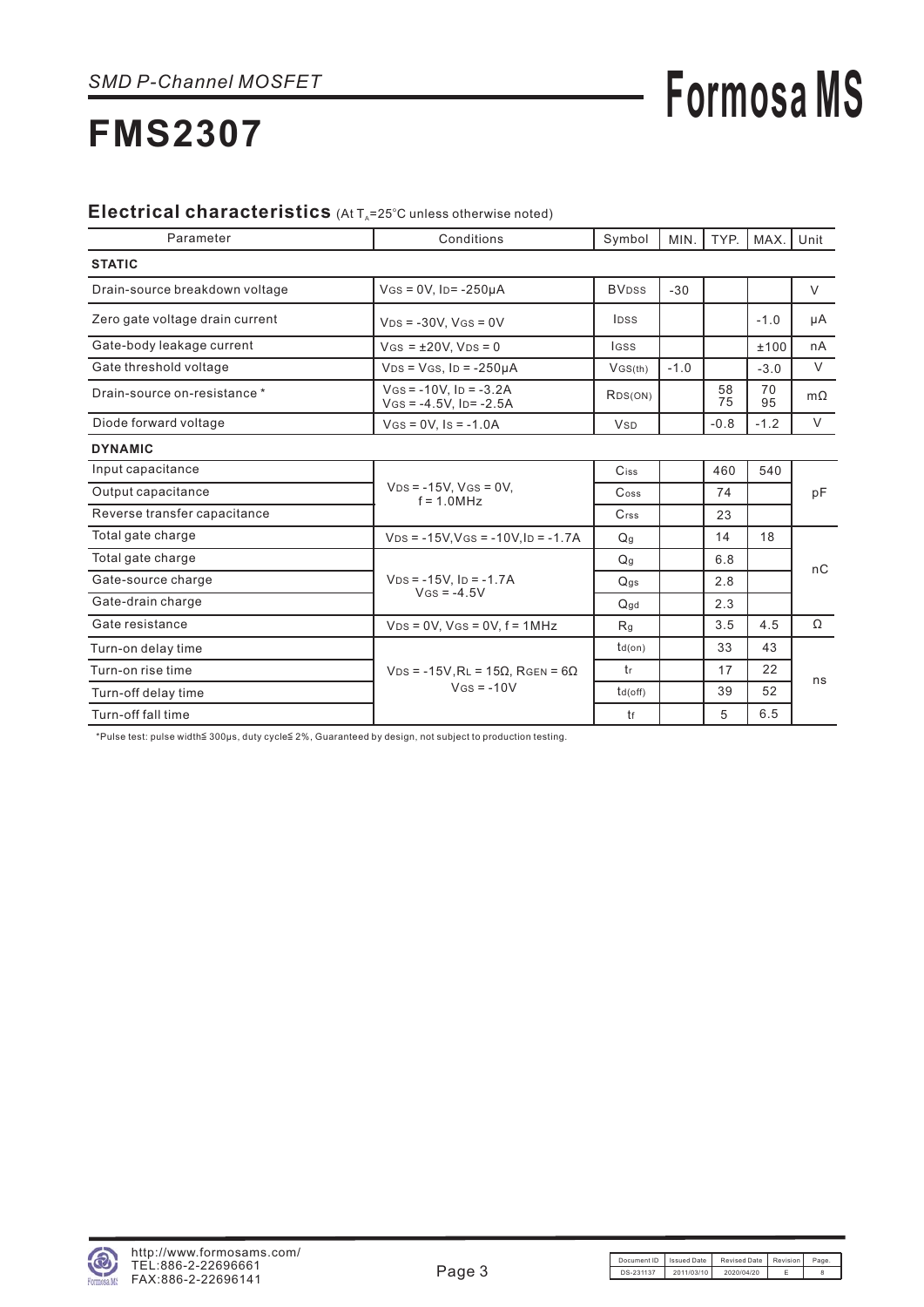# **Formosa MS**

## **FMS2307**

#### Electrical characteristics (At T<sub>A</sub>=25°C unless otherwise noted)

| Parameter                       | Conditions                                             | Symbol                | MIN.   | TYP.     | MAX.     | Unit      |
|---------------------------------|--------------------------------------------------------|-----------------------|--------|----------|----------|-----------|
| <b>STATIC</b>                   |                                                        |                       |        |          |          |           |
| Drain-source breakdown voltage  | $V$ GS = 0V, ID= -250µA                                | <b>BVDSS</b>          | $-30$  |          |          | V         |
| Zero gate voltage drain current | $V_{DS} = -30V$ , $V_{GS} = 0V$                        | <b>IDSS</b>           |        |          | $-1.0$   | μA        |
| Gate-body leakage current       | $V$ GS = $\pm 20V$ , $V$ DS = 0                        | <b>IGSS</b>           |        |          | ±100     | nA        |
| Gate threshold voltage          | $VDS = VGS$ , $ID = -250\mu A$                         | VGS(th)               | $-1.0$ |          | $-3.0$   | $\vee$    |
| Drain-source on-resistance *    | $V$ GS = -10V, Ip = -3.2A<br>$V$ GS = -4.5V, ID= -2.5A | RDS(ON)               |        | 58<br>75 | 70<br>95 | $m\Omega$ |
| Diode forward voltage           | $V(s = 0V.$ $Is = -1.0A$                               | <b>V<sub>SD</sub></b> |        | $-0.8$   | $-1.2$   | V         |
| <b>DYNAMIC</b>                  |                                                        |                       |        |          |          |           |
| Input capacitance               |                                                        | Ciss                  |        | 460      | 540      |           |
| Output capacitance              | $VDS = -15V$ , $VGS = 0V$ ,<br>$f = 1.0 MHz$           | $\mathsf{Coss}$       |        | 74       |          | pF        |
| Reverse transfer capacitance    |                                                        | Crss                  |        | 23       |          |           |
| Total gate charge               | $V_{DS}$ = -15V, VGs = -10V, ID = -1.7A                | Q <sub>g</sub>        |        | 14       | 18       |           |
| Total gate charge               |                                                        | Q <sub>g</sub>        |        | 6.8      |          | nC        |
| Gate-source charge              | $VDS = -15V$ . ID = $-1.7A$                            | Q <sub>gs</sub>       |        | 2.8      |          |           |
| Gate-drain charge               | $V$ <sub>GS</sub> = -4.5V                              | $Q$ <sub>gd</sub>     |        | 2.3      |          |           |
| Gate resistance                 | $VDS = 0V$ , $VGS = 0V$ , $f = 1MHz$                   | R <sub>g</sub>        |        | 3.5      | 4.5      | Ω         |
| Turn-on delay time              |                                                        | $td($ on $)$          |        | 33       | 43       |           |
| Turn-on rise time               | $VDS = -15V$ , $RL = 15\Omega$ , $RGEN = 6\Omega$      | tr                    |        | 17       | 22       |           |
| Turn-off delay time             | $V$ GS = $-10V$                                        | td(off)               |        | 39       | 52       | ns        |
| Turn-off fall time              |                                                        | tf                    |        | 5        | 6.5      |           |

\* Pulse test: pulse width 200 µs, duty cycle 2%, Guaranteed by design, not subject to production testing.

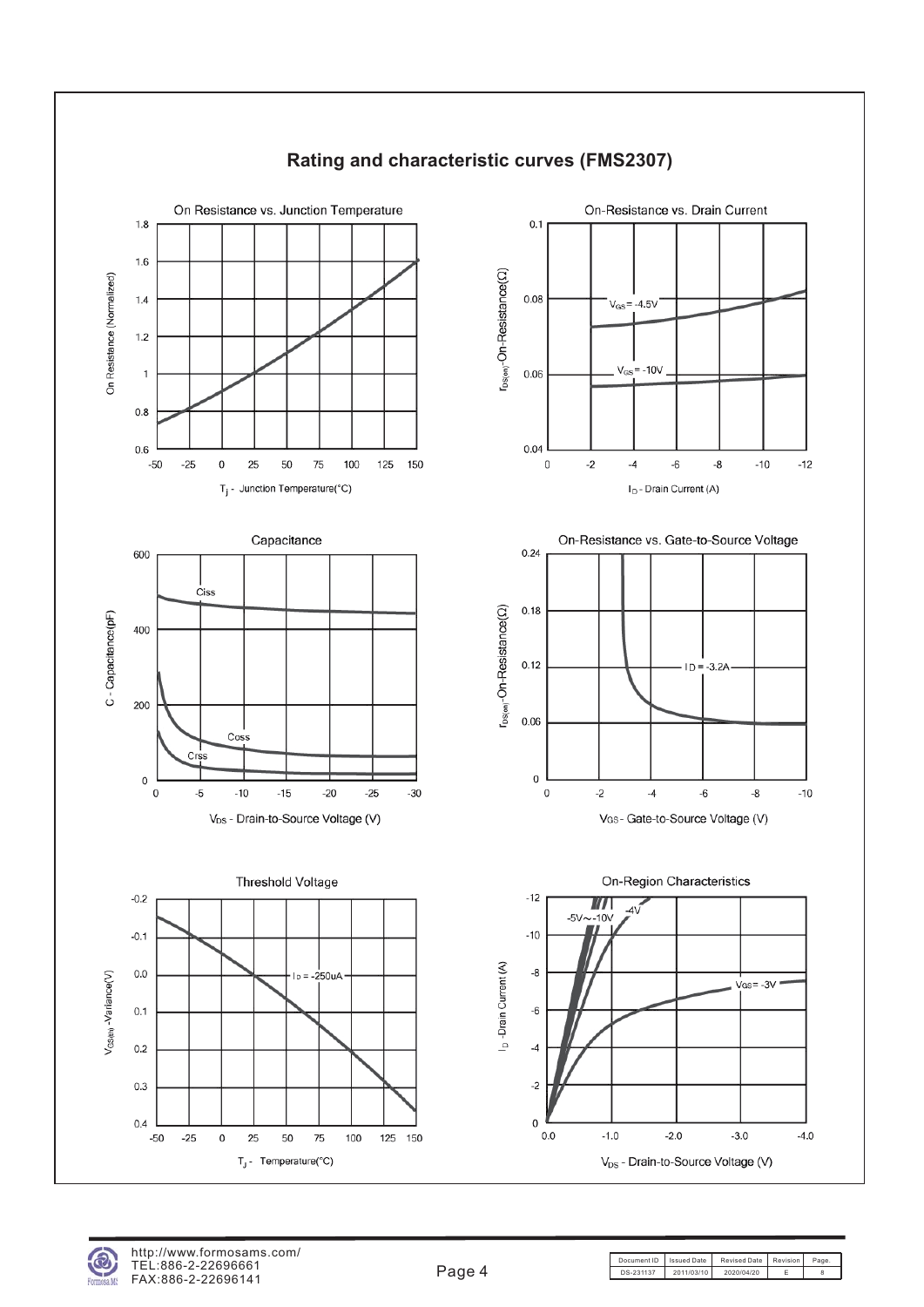

#### **Rating and characteristic curves (FMS2307)**

Document ID | Issued Date | Revised Date | Revision | Page DS-231137 2011/03/10 2020/04/20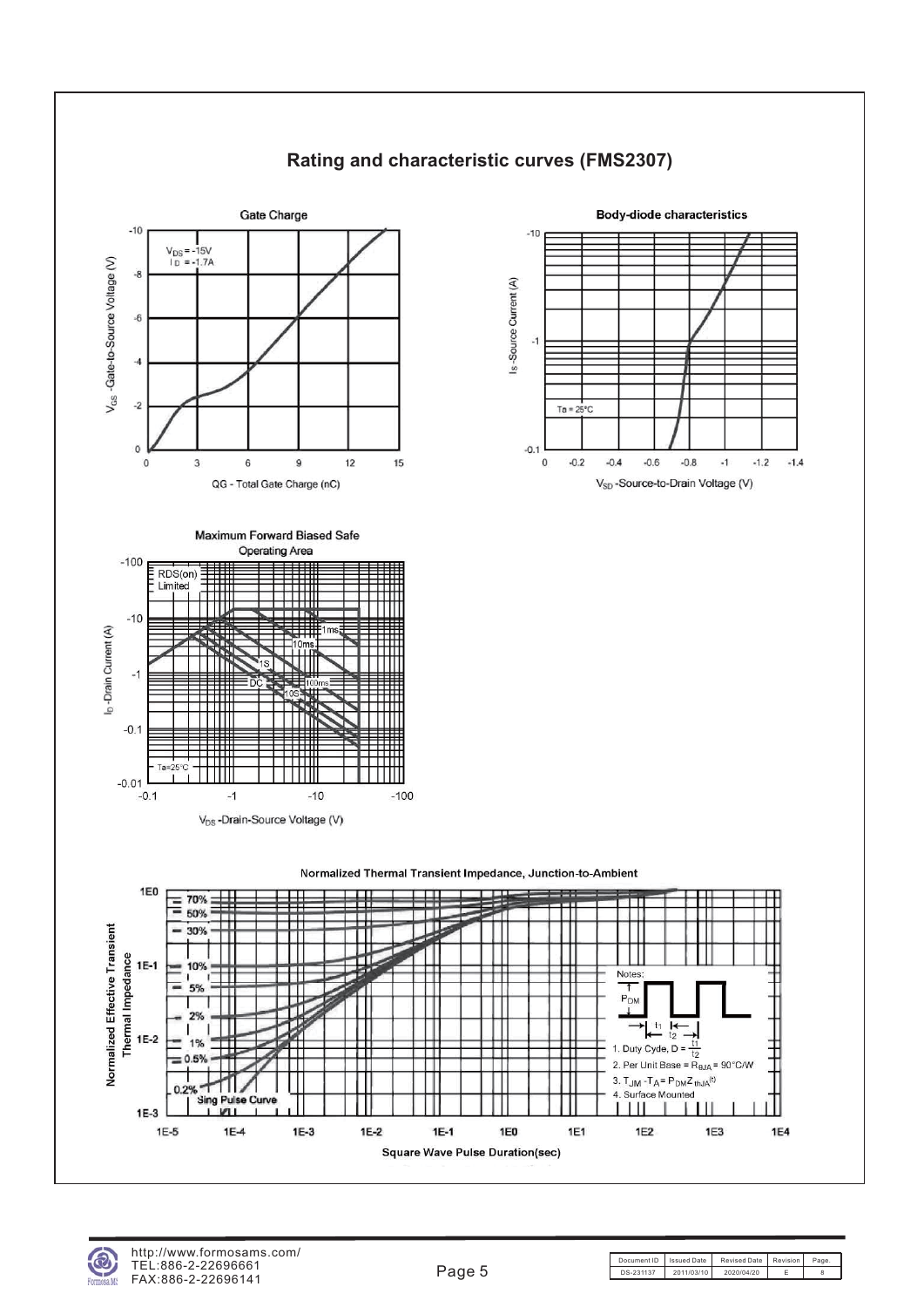

#### **Rating and characteristic curves (FMS2307)**



**Body-diode characteristics** 









 $-0.1$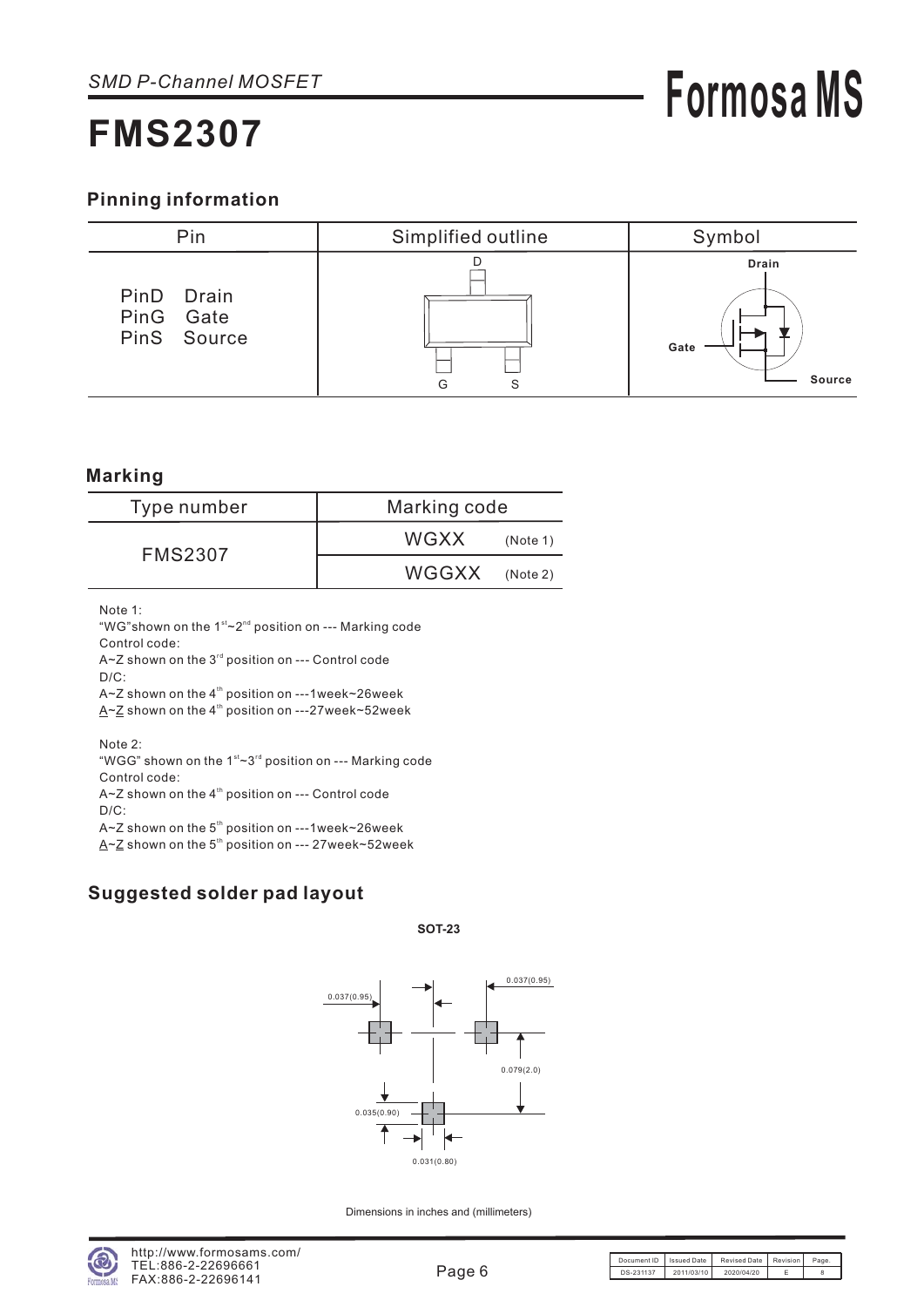#### **Pinning information**



#### **Marking**

| Type number    | Marking code            |  |  |
|----------------|-------------------------|--|--|
| <b>FMS2307</b> | <b>WGXX</b><br>(Note 1) |  |  |
|                | WGGXX (Note 2)          |  |  |

Note 1:

"WG"shown on the  $1<sup>st</sup>~2<sup>nd</sup>$  position on --- Marking code Control code:

A~Z shown on the  $3<sup>rd</sup>$  position on --- Control code  $D/C$ :

A~Z shown on the  $4<sup>th</sup>$  position on ---1week~26week  $A \sim Z$  shown on the 4<sup>th</sup> position on ---27week~52week

Note 2:

"WGG" shown on the  $1<sup>st</sup>$ ~3<sup>rd</sup> position on --- Marking code Control code:

 $A - Z$  shown on the 4<sup>th</sup> position on --- Control code  $D/C$ :

A~Z shown on the  $5<sup>th</sup>$  position on ---1week~26week

A  $\sim$  Z shown on the 5<sup>th</sup> position on --- 27 week $\sim$  52 week

#### **Suggested solder pad layout**

**SOT-23**



Dimensions in inches and (millimeters)

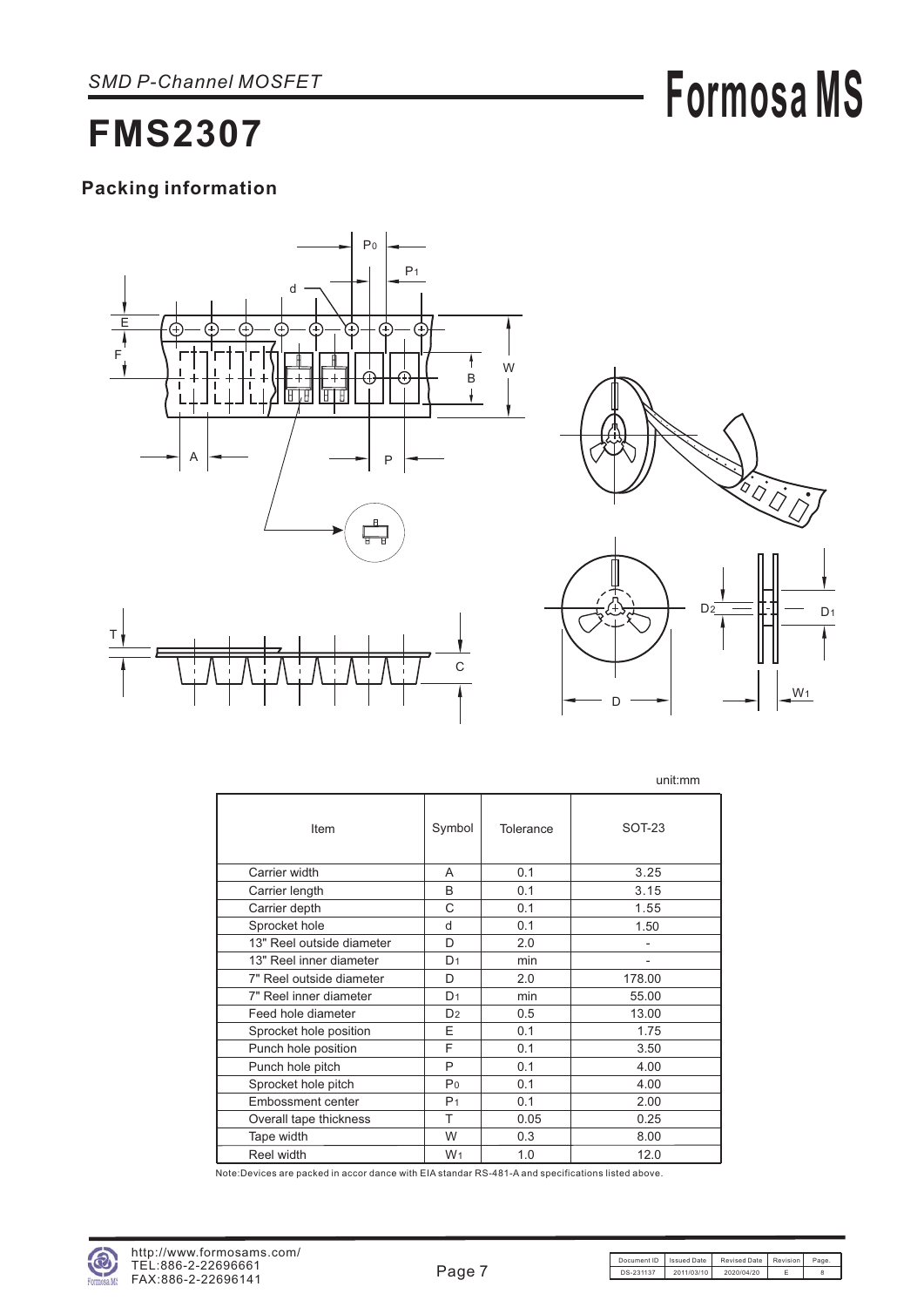## **Packing information**





unit:mm

**Formosa MS**

|                           |                |           | unium                    |
|---------------------------|----------------|-----------|--------------------------|
| Item                      | Symbol         | Tolerance | <b>SOT-23</b>            |
| Carrier width             | A              | 0.1       | 3.25                     |
| Carrier length            | B              | 0.1       | 3.15                     |
| Carrier depth             | C              | 0.1       | 1.55                     |
| Sprocket hole             | d              | 0.1       | 1.50                     |
| 13" Reel outside diameter | D              | 2.0       |                          |
| 13" Reel inner diameter   | D <sub>1</sub> | min       | $\overline{\phantom{0}}$ |
| 7" Reel outside diameter  | D              | 2.0       | 178.00                   |
| 7" Reel inner diameter    | D <sub>1</sub> | min       | 55.00                    |
| Feed hole diameter        | D <sub>2</sub> | 0.5       | 13.00                    |
| Sprocket hole position    | F              | 0.1       | 1.75                     |
| Punch hole position       | F              | 0.1       | 3.50                     |
| Punch hole pitch          | P              | 0.1       | 4.00                     |
| Sprocket hole pitch       | P <sub>0</sub> | 0.1       | 4.00                     |
| <b>Embossment center</b>  | P <sub>1</sub> | 0.1       | 2.00                     |
| Overall tape thickness    | T              | 0.05      | 0.25                     |
| Tape width                | W              | 0.3       | 8.00                     |
| Reel width                | W <sub>1</sub> | 1.0       | 12.0                     |

Note:Devices are packed in accor dance with EIA standar RS-481-A and specifications listed above.